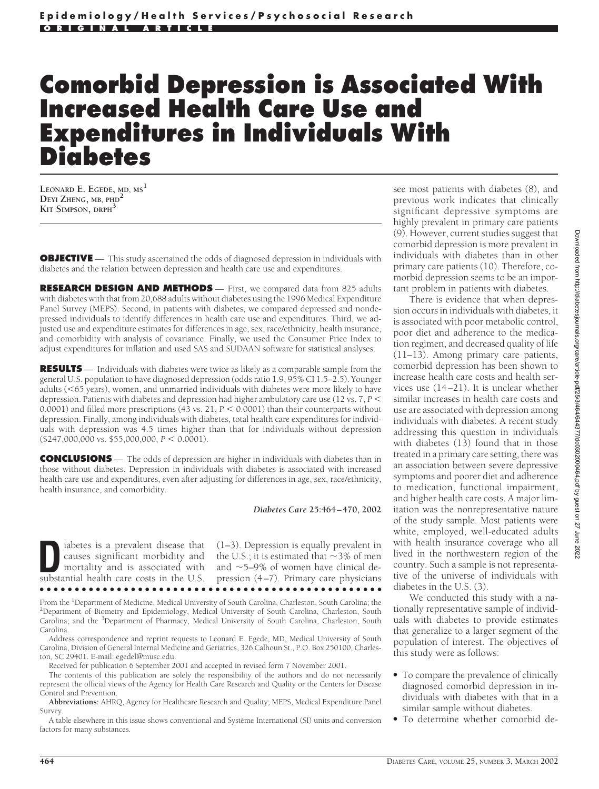# **Comorbid Depression is Associated With Increased Health Care Use and Expenditures in Individuals With Diabetes**

**LEONARD E. EGEDE, MD, MS<sup>1</sup> DEYI ZHENG, MB, PHD<sup>2</sup> KIT SIMPSON, DRPH<sup>3</sup>**

**OBJECTIVE** — This study ascertained the odds of diagnosed depression in individuals with diabetes and the relation between depression and health care use and expenditures.

**RESEARCH DESIGN AND METHODS** — First, we compared data from 825 adults with diabetes with that from 20,688 adults without diabetes using the 1996 Medical Expenditure Panel Survey (MEPS). Second, in patients with diabetes, we compared depressed and nondepressed individuals to identify differences in health care use and expenditures. Third, we adjusted use and expenditure estimates for differences in age, sex, race/ethnicity, health insurance, and comorbidity with analysis of covariance. Finally, we used the Consumer Price Index to adjust expenditures for inflation and used SAS and SUDAAN software for statistical analyses.

**RESULTS** — Individuals with diabetes were twice as likely as a comparable sample from the general U.S. population to have diagnosed depression (odds ratio 1.9, 95% CI 1.5–2.5). Younger adults (<65 years), women, and unmarried individuals with diabetes were more likely to have depression. Patients with diabetes and depression had higher ambulatory care use (12 vs. 7, *P* 0.0001) and filled more prescriptions (43 vs. 21,  $P < 0.0001$ ) than their counterparts without depression. Finally, among individuals with diabetes, total health care expenditures for individuals with depression was 4.5 times higher than that for individuals without depression  $($247,000,000 \text{ vs. } $55,000,000, P < 0.0001).$ 

**CONCLUSIONS** — The odds of depression are higher in individuals with diabetes than in those without diabetes. Depression in individuals with diabetes is associated with increased health care use and expenditures, even after adjusting for differences in age, sex, race/ethnicity, health insurance, and comorbidity.

*Diabetes Care* **25:464–470, 2002**

**D**iabetes is a prevalent disease that causes significant morbidity and mortality and is associated with substantial health care costs in the U.S. causes significant morbidity and mortality and is associated with (1–3). Depression is equally prevalent in the U.S.; it is estimated that  ${\sim}3\%$  of men and  $\sim$ 5–9% of women have clinical depression (4–7). Primary care physicians

●●●●●●●●●●●●●●●●●●●●●●●●●●●●●●●●●●●●●●●●●●●●●●●●● From the <sup>1</sup>Department of Medicine, Medical University of South Carolina, Charleston, South Carolina; the <sup>2</sup>Department of Biometry and Epidemiology, Medical University of South Carolina, Charleston, South

<sup>2</sup>Department of Biometry and Epidemiology, Medical University of South Carolina, Charleston, South Carolina; and the <sup>3</sup>Department of Pharmacy, Medical University of South Carolina, Charleston, South Carolina.

Address correspondence and reprint requests to Leonard E. Egede, MD, Medical University of South Carolina, Division of General Internal Medicine and Geriatrics, 326 Calhoun St., P.O. Box 250100, Charleston, SC 29401. E-mail: egedel@musc.edu.

Received for publication 6 September 2001 and accepted in revised form 7 November 2001.

The contents of this publication are solely the responsibility of the authors and do not necessarily represent the official views of the Agency for Health Care Research and Quality or the Centers for Disease Control and Prevention.

**Abbreviations:** AHRQ, Agency for Healthcare Research and Quality; MEPS, Medical Expenditure Panel Survey.

A table elsewhere in this issue shows conventional and Système International (SI) units and conversion factors for many substances

see most patients with diabetes (8), and previous work indicates that clinically significant depressive symptoms are highly prevalent in primary care patients (9). However, current studies suggest that comorbid depression is more prevalent in individuals with diabetes than in other primary care patients (10). Therefore, comorbid depression seems to be an important problem in patients with diabetes.

There is evidence that when depression occurs in individuals with diabetes, it is associated with poor metabolic control, poor diet and adherence to the medication regimen, and decreased quality of life (11–13). Among primary care patients, comorbid depression has been shown to increase health care costs and health services use (14–21). It is unclear whether similar increases in health care costs and use are associated with depression among individuals with diabetes. A recent study addressing this question in individuals with diabetes (13) found that in those treated in a primary care setting, there was an association between severe depressive symptoms and poorer diet and adherence to medication, functional impairment, and higher health care costs. A major limitation was the nonrepresentative nature of the study sample. Most patients were white, employed, well-educated adults with health insurance coverage who all lived in the northwestern region of the country. Such a sample is not representative of the universe of individuals with diabetes in the U.S. (3).

We conducted this study with a nationally representative sample of individuals with diabetes to provide estimates that generalize to a larger segment of the population of interest. The objectives of this study were as follows:

- To compare the prevalence of clinically diagnosed comorbid depression in individuals with diabetes with that in a similar sample without diabetes.
- To determine whether comorbid de-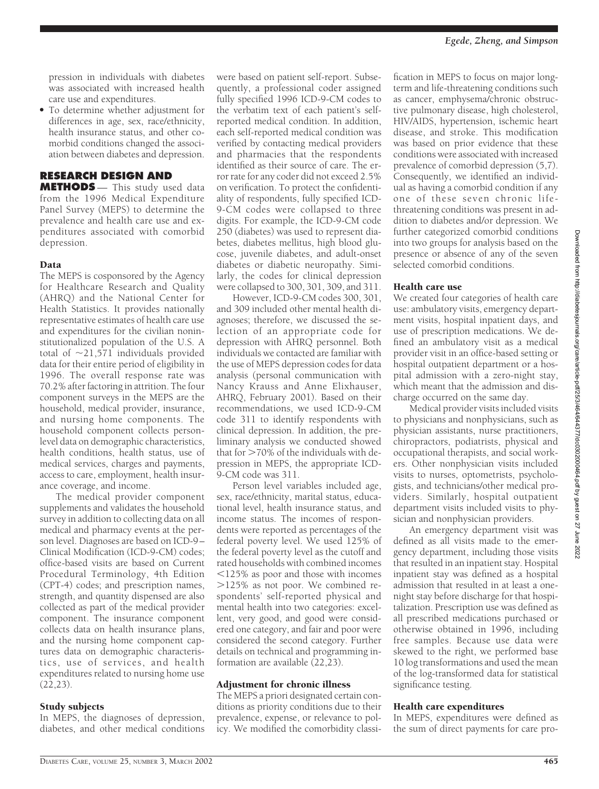pression in individuals with diabetes was associated with increased health care use and expenditures.

• To determine whether adjustment for differences in age, sex, race/ethnicity, health insurance status, and other comorbid conditions changed the association between diabetes and depression.

# **RESEARCH DESIGN AND**

**METHODS** — This study used data from the 1996 Medical Expenditure Panel Survey (MEPS) to determine the prevalence and health care use and expenditures associated with comorbid depression.

## Data

The MEPS is cosponsored by the Agency for Healthcare Research and Quality (AHRQ) and the National Center for Health Statistics. It provides nationally representative estimates of health care use and expenditures for the civilian noninstitutionalized population of the U.S. A total of  $\sim$ 21,571 individuals provided data for their entire period of eligibility in 1996. The overall response rate was 70.2% after factoring in attrition. The four component surveys in the MEPS are the household, medical provider, insurance, and nursing home components. The household component collects personlevel data on demographic characteristics, health conditions, health status, use of medical services, charges and payments, access to care, employment, health insurance coverage, and income.

The medical provider component supplements and validates the household survey in addition to collecting data on all medical and pharmacy events at the person level. Diagnoses are based on ICD-9– Clinical Modification (ICD-9-CM) codes; office-based visits are based on Current Procedural Terminology, 4th Edition (CPT-4) codes; and prescription names, strength, and quantity dispensed are also collected as part of the medical provider component. The insurance component collects data on health insurance plans, and the nursing home component captures data on demographic characteristics, use of services, and health expenditures related to nursing home use (22,23).

# Study subjects

In MEPS, the diagnoses of depression, diabetes, and other medical conditions were based on patient self-report. Subsequently, a professional coder assigned fully specified 1996 ICD-9-CM codes to the verbatim text of each patient's selfreported medical condition. In addition, each self-reported medical condition was verified by contacting medical providers and pharmacies that the respondents identified as their source of care. The error rate for any coder did not exceed 2.5% on verification. To protect the confidentiality of respondents, fully specified ICD-9-CM codes were collapsed to three digits. For example, the ICD-9-CM code 250 (diabetes) was used to represent diabetes, diabetes mellitus, high blood glucose, juvenile diabetes, and adult-onset diabetes or diabetic neuropathy. Similarly, the codes for clinical depression were collapsed to 300, 301, 309, and 311.

However, ICD-9-CM codes 300, 301, and 309 included other mental health diagnoses; therefore, we discussed the selection of an appropriate code for depression with AHRQ personnel. Both individuals we contacted are familiar with the use of MEPS depression codes for data analysis (personal communication with Nancy Krauss and Anne Elixhauser, AHRQ, February 2001). Based on their recommendations, we used ICD-9-CM code 311 to identify respondents with clinical depression. In addition, the preliminary analysis we conducted showed that for  $>70\%$  of the individuals with depression in MEPS, the appropriate ICD-9-CM code was 311.

Person level variables included age, sex, race/ethnicity, marital status, educational level, health insurance status, and income status. The incomes of respondents were reported as percentages of the federal poverty level. We used 125% of the federal poverty level as the cutoff and rated households with combined incomes  $125\%$  as poor and those with incomes 125% as not poor. We combined respondents' self-reported physical and mental health into two categories: excellent, very good, and good were considered one category, and fair and poor were considered the second category. Further details on technical and programming information are available (22,23).

# Adjustment for chronic illness

The MEPS a priori designated certain conditions as priority conditions due to their prevalence, expense, or relevance to policy. We modified the comorbidity classification in MEPS to focus on major longterm and life-threatening conditions such as cancer, emphysema/chronic obstructive pulmonary disease, high cholesterol, HIV/AIDS, hypertension, ischemic heart disease, and stroke. This modification was based on prior evidence that these conditions were associated with increased prevalence of comorbid depression (5,7). Consequently, we identified an individual as having a comorbid condition if any one of these seven chronic lifethreatening conditions was present in addition to diabetes and/or depression. We further categorized comorbid conditions into two groups for analysis based on the presence or absence of any of the seven selected comorbid conditions.

#### Health care use

We created four categories of health care use: ambulatory visits, emergency department visits, hospital inpatient days, and use of prescription medications. We defined an ambulatory visit as a medical provider visit in an office-based setting or hospital outpatient department or a hospital admission with a zero-night stay, which meant that the admission and discharge occurred on the same day.

Medical provider visits included visits to physicians and nonphysicians, such as physician assistants, nurse practitioners, chiropractors, podiatrists, physical and occupational therapists, and social workers. Other nonphysician visits included visits to nurses, optometrists, psychologists, and technicians/other medical providers. Similarly, hospital outpatient department visits included visits to physician and nonphysician providers.

An emergency department visit was defined as all visits made to the emergency department, including those visits that resulted in an inpatient stay. Hospital inpatient stay was defined as a hospital admission that resulted in at least a onenight stay before discharge for that hospitalization. Prescription use was defined as all prescribed medications purchased or otherwise obtained in 1996, including free samples. Because use data were skewed to the right, we performed base 10 log transformations and used the mean of the log-transformed data for statistical significance testing.

## Health care expenditures

In MEPS, expenditures were defined as the sum of direct payments for care pro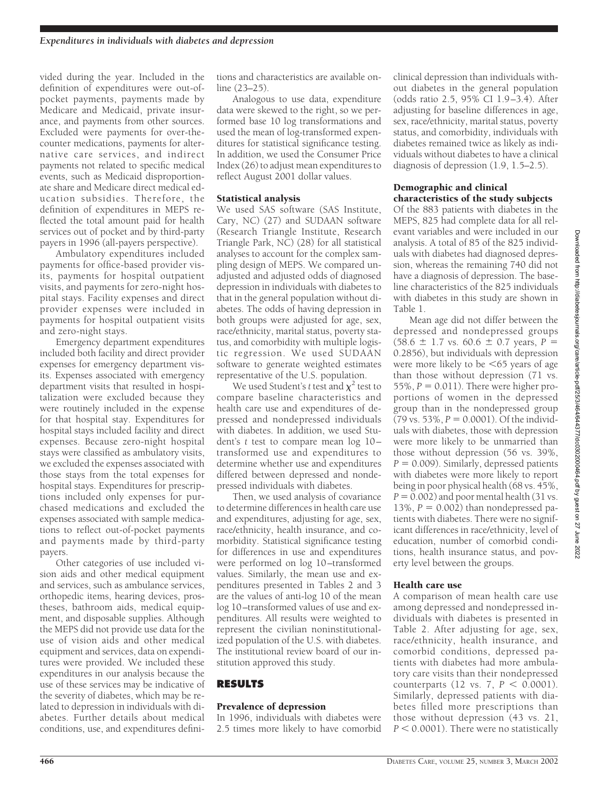vided during the year. Included in the definition of expenditures were out-ofpocket payments, payments made by Medicare and Medicaid, private insurance, and payments from other sources. Excluded were payments for over-thecounter medications, payments for alternative care services, and indirect payments not related to specific medical events, such as Medicaid disproportionate share and Medicare direct medical education subsidies. Therefore, the definition of expenditures in MEPS reflected the total amount paid for health services out of pocket and by third-party payers in 1996 (all-payers perspective).

Ambulatory expenditures included payments for office-based provider visits, payments for hospital outpatient visits, and payments for zero-night hospital stays. Facility expenses and direct provider expenses were included in payments for hospital outpatient visits and zero-night stays.

Emergency department expenditures included both facility and direct provider expenses for emergency department visits. Expenses associated with emergency department visits that resulted in hospitalization were excluded because they were routinely included in the expense for that hospital stay. Expenditures for hospital stays included facility and direct expenses. Because zero-night hospital stays were classified as ambulatory visits, we excluded the expenses associated with those stays from the total expenses for hospital stays. Expenditures for prescriptions included only expenses for purchased medications and excluded the expenses associated with sample medications to reflect out-of-pocket payments and payments made by third-party payers.

Other categories of use included vision aids and other medical equipment and services, such as ambulance services, orthopedic items, hearing devices, prostheses, bathroom aids, medical equipment, and disposable supplies. Although the MEPS did not provide use data for the use of vision aids and other medical equipment and services, data on expenditures were provided. We included these expenditures in our analysis because the use of these services may be indicative of the severity of diabetes, which may be related to depression in individuals with diabetes. Further details about medical conditions, use, and expenditures definitions and characteristics are available online (23–25).

Analogous to use data, expenditure data were skewed to the right, so we performed base 10 log transformations and used the mean of log-transformed expenditures for statistical significance testing. In addition, we used the Consumer Price Index (26) to adjust mean expenditures to reflect August 2001 dollar values.

#### Statistical analysis

We used SAS software (SAS Institute, Cary, NC) (27) and SUDAAN software (Research Triangle Institute, Research Triangle Park, NC) (28) for all statistical analyses to account for the complex sampling design of MEPS. We compared unadjusted and adjusted odds of diagnosed depression in individuals with diabetes to that in the general population without diabetes. The odds of having depression in both groups were adjusted for age, sex, race/ethnicity, marital status, poverty status, and comorbidity with multiple logistic regression. We used SUDAAN software to generate weighted estimates representative of the U.S. population.

We used Student's *t* test and  $\chi^2$  test to compare baseline characteristics and health care use and expenditures of depressed and nondepressed individuals with diabetes. In addition, we used Student's *t* test to compare mean log 10– transformed use and expenditures to determine whether use and expenditures differed between depressed and nondepressed individuals with diabetes.

Then, we used analysis of covariance to determine differences in health care use and expenditures, adjusting for age, sex, race/ethnicity, health insurance, and comorbidity. Statistical significance testing for differences in use and expenditures were performed on log 10–transformed values. Similarly, the mean use and expenditures presented in Tables 2 and 3 are the values of anti-log 10 of the mean log 10–transformed values of use and expenditures. All results were weighted to represent the civilian noninstitutionalized population of the U.S. with diabetes. The institutional review board of our institution approved this study.

## **RESULTS**

## Prevalence of depression

In 1996, individuals with diabetes were 2.5 times more likely to have comorbid clinical depression than individuals without diabetes in the general population (odds ratio 2.5, 95% CI 1.9–3.4). After adjusting for baseline differences in age, sex, race/ethnicity, marital status, poverty status, and comorbidity, individuals with diabetes remained twice as likely as individuals without diabetes to have a clinical diagnosis of depression (1.9, 1.5–2.5).

#### Demographic and clinical characteristics of the study subjects

Of the 883 patients with diabetes in the MEPS, 825 had complete data for all relevant variables and were included in our analysis. A total of 85 of the 825 individuals with diabetes had diagnosed depression, whereas the remaining 740 did not have a diagnosis of depression. The baseline characteristics of the 825 individuals with diabetes in this study are shown in Table 1.

Mean age did not differ between the depressed and nondepressed groups  $(58.6 \pm 1.7 \text{ vs. } 60.6 \pm 0.7 \text{ years}, P =$ 0.2856), but individuals with depression were more likely to be  $\leq 65$  years of age than those without depression (71 vs.  $55\%$ ,  $P = 0.011$ ). There were higher proportions of women in the depressed group than in the nondepressed group  $(79 \text{ vs. } 53\%, P = 0.0001)$ . Of the individuals with diabetes, those with depression were more likely to be unmarried than those without depression (56 vs. 39%,  $P = 0.009$ ). Similarly, depressed patients with diabetes were more likely to report being in poor physical health (68 vs. 45%,  $P = 0.002$ ) and poor mental health (31 vs. 13%,  $P = 0.002$ ) than nondepressed patients with diabetes. There were no significant differences in race/ethnicity, level of education, number of comorbid conditions, health insurance status, and poverty level between the groups.

## Health care use

A comparison of mean health care use among depressed and nondepressed individuals with diabetes is presented in Table 2. After adjusting for age, sex, race/ethnicity, health insurance, and comorbid conditions, depressed patients with diabetes had more ambulatory care visits than their nondepressed counterparts (12 vs. 7,  $P < 0.0001$ ). Similarly, depressed patients with diabetes filled more prescriptions than those without depression (43 vs. 21,  $P < 0.0001$ ). There were no statistically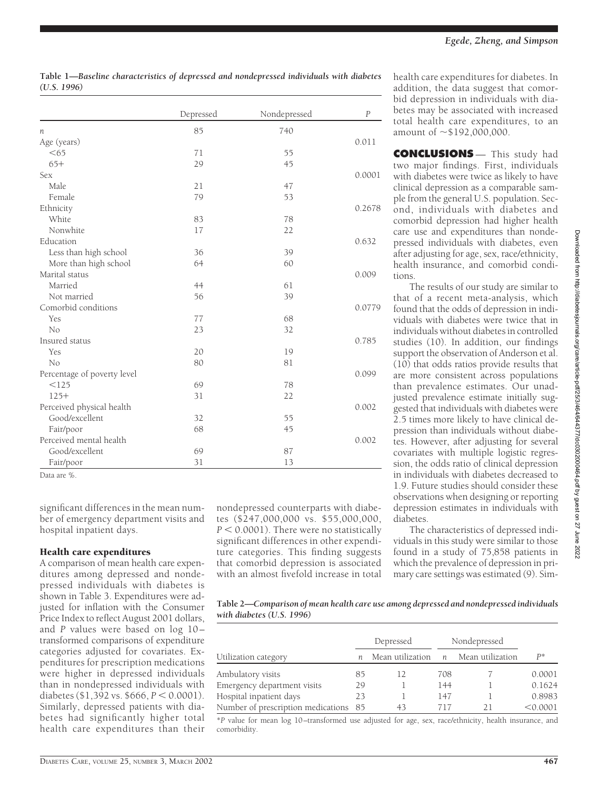|                             | Depressed | Nondepressed | $\cal P$ |
|-----------------------------|-----------|--------------|----------|
| п                           | 85        | 740          |          |
| Age (years)                 |           |              | 0.011    |
| < 65                        | 71        | 55           |          |
| $65+$                       | 29        | 45           |          |
| Sex                         |           |              | 0.0001   |
| Male                        | 21        | 47           |          |
| Female                      | 79        | 53           |          |
| Ethnicity                   |           |              | 0.2678   |
| White                       | 83        | 78           |          |
| Nonwhite                    | 17        | 22           |          |
| Education                   |           |              | 0.632    |
| Less than high school       | 36        | 39           |          |
| More than high school       | 64        | 60           |          |
| Marital status              |           |              | 0.009    |
| Married                     | 44        | 61           |          |
| Not married                 | 56        | 39           |          |
| Comorbid conditions         |           |              | 0.0779   |
| Yes                         | 77        | 68           |          |
| No                          | 23        | 32           |          |
| Insured status              |           |              | 0.785    |
| Yes                         | 20        | 19           |          |
| No                          | 80        | 81           |          |
| Percentage of poverty level |           |              | 0.099    |
| < 125                       | 69        | 78           |          |
| $125+$                      | 31        | 22           |          |
| Perceived physical health   |           |              | 0.002    |
| Good/excellent              | 32        | 55           |          |
| Fair/poor                   | 68        | 45           |          |
| Perceived mental health     |           |              | 0.002    |
| Good/excellent              | 69        | 87           |          |
| Fair/poor                   | 31        | 13           |          |

**Table 1—***Baseline characteristics of depressed and nondepressed individuals with diabetes (U.S. 1996)*

Data are %.

significant differences in the mean number of emergency department visits and hospital inpatient days.

## Health care expenditures

A comparison of mean health care expenditures among depressed and nondepressed individuals with diabetes is shown in Table 3. Expenditures were adjusted for inflation with the Consumer Price Index to reflect August 2001 dollars, and *P* values were based on log 10transformed comparisons of expenditure categories adjusted for covariates. Expenditures for prescription medications were higher in depressed individuals than in nondepressed individuals with diabetes (\$1,392 vs. \$666,  $P < 0.0001$ ). Similarly, depressed patients with diabetes had significantly higher total health care expenditures than their nondepressed counterparts with diabetes (\$247,000,000 vs. \$55,000,000,  $P < 0.0001$ ). There were no statistically significant differences in other expenditure categories. This finding suggests that comorbid depression is associated with an almost fivefold increase in total

health care expenditures for diabetes. In addition, the data suggest that comorbid depression in individuals with diabetes may be associated with increased total health care expenditures, to an amount of  $\sim$  \$192,000,000.

**CONCLUSIONS** — This study had two major findings. First, individuals with diabetes were twice as likely to have clinical depression as a comparable sample from the general U.S. population. Second, individuals with diabetes and comorbid depression had higher health care use and expenditures than nondepressed individuals with diabetes, even after adjusting for age, sex, race/ethnicity, health insurance, and comorbid conditions.

The results of our study are similar to that of a recent meta-analysis, which found that the odds of depression in individuals with diabetes were twice that in individuals without diabetes in controlled studies (10). In addition, our findings support the observation of Anderson et al. (10) that odds ratios provide results that are more consistent across populations than prevalence estimates. Our unadjusted prevalence estimate initially suggested that individuals with diabetes were 2.5 times more likely to have clinical depression than individuals without diabetes. However, after adjusting for several covariates with multiple logistic regression, the odds ratio of clinical depression in individuals with diabetes decreased to 1.9. Future studies should consider these observations when designing or reporting depression estimates in individuals with diabetes.

The characteristics of depressed individuals in this study were similar to those found in a study of 75,858 patients in which the prevalence of depression in primary care settings was estimated (9). Sim-

**Table 2—***Comparison of mean health care use among depressed and nondepressed individuals with diabetes (U.S. 1996)*

|                                    |    | Depressed        |     | Nondepressed     |          |
|------------------------------------|----|------------------|-----|------------------|----------|
| Utilization category               |    | Mean utilization | n   | Mean utilization | $P^*$    |
| Ambulatory visits                  | 85 | 12               | 708 |                  | 0.0001   |
| Emergency department visits        | 29 |                  | 144 |                  | 0.1624   |
| Hospital inpatient days            | 23 |                  | 147 |                  | 0.8983   |
| Number of prescription medications | 85 | 43               | 717 |                  | < 0.0001 |

\**P* value for mean log 10–transformed use adjusted for age, sex, race/ethnicity, health insurance, and comorbidity.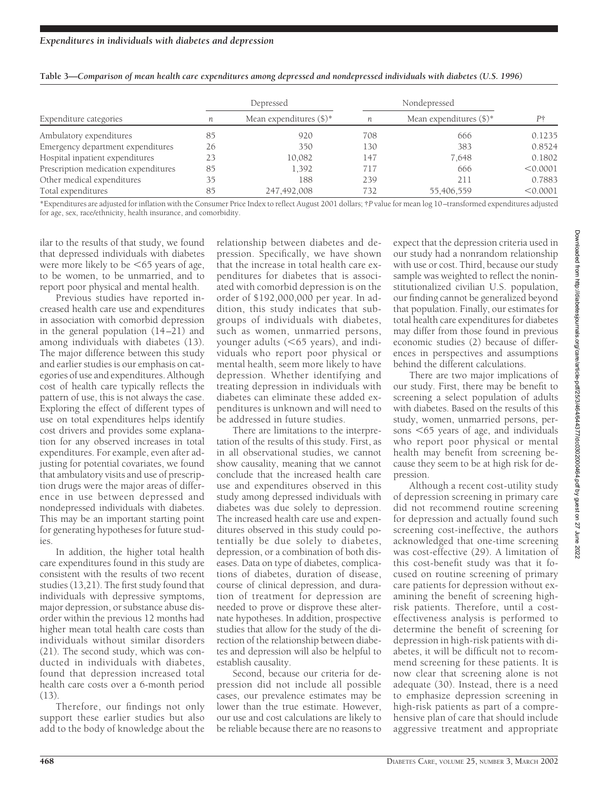| Expenditure categories               | Depressed |                            | Nondepressed |                            |          |
|--------------------------------------|-----------|----------------------------|--------------|----------------------------|----------|
|                                      | n         | Mean expenditures $(\$)^*$ | n            | Mean expenditures $(\$)^*$ | P†       |
| Ambulatory expenditures              | 85        | 920                        | 708          | 666                        | 0.1235   |
| Emergency department expenditures    | 26        | 350                        | 130          | 383                        | 0.8524   |
| Hospital inpatient expenditures      | 23        | 10,082                     | 147          | 7.648                      | 0.1802   |
| Prescription medication expenditures | 85        | 1,392                      | 717          | 666                        | < 0.0001 |
| Other medical expenditures           | 35        | 188                        | 239          | 211                        | 0.7883   |
| Total expenditures                   | 85        | 247,492,008                | 732          | 55,406,559                 | < 0.0001 |

| Table 3—Comparison of mean health care expenditures among depressed and nondepressed individuals with diabetes (U.S. 1996) |  |  |  |  |  |
|----------------------------------------------------------------------------------------------------------------------------|--|--|--|--|--|
|----------------------------------------------------------------------------------------------------------------------------|--|--|--|--|--|

\*Expenditures are adjusted for inflation with the Consumer Price Index to reflect August 2001 dollars; †*P* value for mean log 10–transformed expenditures adjusted for age, sex, race/ethnicity, health insurance, and comorbidity.

ilar to the results of that study, we found that depressed individuals with diabetes were more likely to be  $<65$  years of age, to be women, to be unmarried, and to report poor physical and mental health.

Previous studies have reported increased health care use and expenditures in association with comorbid depression in the general population (14–21) and among individuals with diabetes (13). The major difference between this study and earlier studies is our emphasis on categories of use and expenditures. Although cost of health care typically reflects the pattern of use, this is not always the case. Exploring the effect of different types of use on total expenditures helps identify cost drivers and provides some explanation for any observed increases in total expenditures. For example, even after adjusting for potential covariates, we found that ambulatory visits and use of prescription drugs were the major areas of difference in use between depressed and nondepressed individuals with diabetes. This may be an important starting point for generating hypotheses for future studies.

In addition, the higher total health care expenditures found in this study are consistent with the results of two recent studies (13,21). The first study found that individuals with depressive symptoms, major depression, or substance abuse disorder within the previous 12 months had higher mean total health care costs than individuals without similar disorders (21). The second study, which was conducted in individuals with diabetes, found that depression increased total health care costs over a 6-month period  $(13)$ 

Therefore, our findings not only support these earlier studies but also add to the body of knowledge about the

relationship between diabetes and depression. Specifically, we have shown that the increase in total health care expenditures for diabetes that is associated with comorbid depression is on the order of \$192,000,000 per year. In addition, this study indicates that subgroups of individuals with diabetes, such as women, unmarried persons, younger adults (<65 years), and individuals who report poor physical or mental health, seem more likely to have depression. Whether identifying and treating depression in individuals with diabetes can eliminate these added expenditures is unknown and will need to be addressed in future studies.

There are limitations to the interpretation of the results of this study. First, as in all observational studies, we cannot show causality, meaning that we cannot conclude that the increased health care use and expenditures observed in this study among depressed individuals with diabetes was due solely to depression. The increased health care use and expenditures observed in this study could potentially be due solely to diabetes, depression, or a combination of both diseases. Data on type of diabetes, complications of diabetes, duration of disease, course of clinical depression, and duration of treatment for depression are needed to prove or disprove these alternate hypotheses. In addition, prospective studies that allow for the study of the direction of the relationship between diabetes and depression will also be helpful to establish causality.

Second, because our criteria for depression did not include all possible cases, our prevalence estimates may be lower than the true estimate. However, our use and cost calculations are likely to be reliable because there are no reasons to

expect that the depression criteria used in our study had a nonrandom relationship with use or cost. Third, because our study sample was weighted to reflect the noninstitutionalized civilian U.S. population, our finding cannot be generalized beyond that population. Finally, our estimates for total health care expenditures for diabetes may differ from those found in previous economic studies (2) because of differences in perspectives and assumptions behind the different calculations.

There are two major implications of our study. First, there may be benefit to screening a select population of adults with diabetes. Based on the results of this study, women, unmarried persons, persons  $<$  65 years of age, and individuals who report poor physical or mental health may benefit from screening because they seem to be at high risk for depression.

Although a recent cost-utility study of depression screening in primary care did not recommend routine screening for depression and actually found such screening cost-ineffective, the authors acknowledged that one-time screening was cost-effective (29). A limitation of this cost-benefit study was that it focused on routine screening of primary care patients for depression without examining the benefit of screening highrisk patients. Therefore, until a costeffectiveness analysis is performed to determine the benefit of screening for depression in high-risk patients with diabetes, it will be difficult not to recommend screening for these patients. It is now clear that screening alone is not adequate (30). Instead, there is a need to emphasize depression screening in high-risk patients as part of a comprehensive plan of care that should include aggressive treatment and appropriate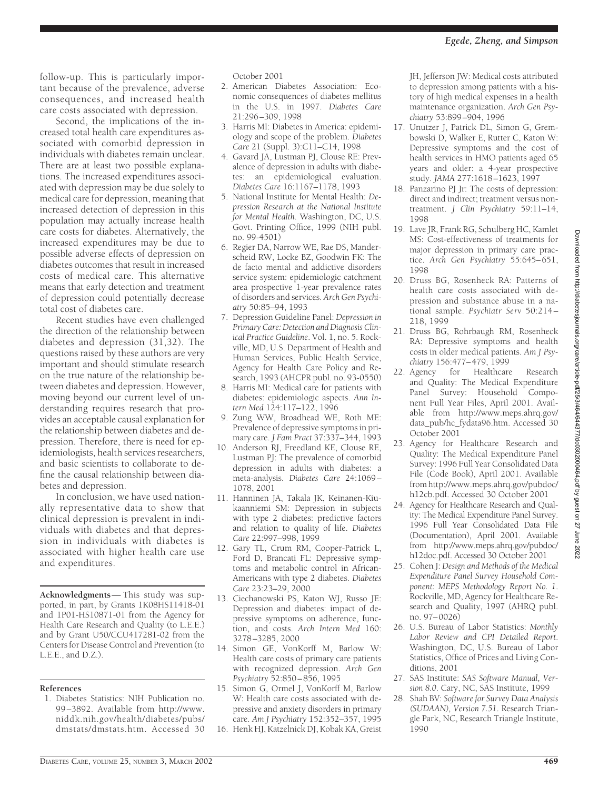follow-up. This is particularly important because of the prevalence, adverse consequences, and increased health care costs associated with depression.

Second, the implications of the increased total health care expenditures associated with comorbid depression in individuals with diabetes remain unclear. There are at least two possible explanations. The increased expenditures associated with depression may be due solely to medical care for depression, meaning that increased detection of depression in this population may actually increase health care costs for diabetes. Alternatively, the increased expenditures may be due to possible adverse effects of depression on diabetes outcomes that result in increased costs of medical care. This alternative means that early detection and treatment of depression could potentially decrease total cost of diabetes care.

Recent studies have even challenged the direction of the relationship between diabetes and depression (31,32). The questions raised by these authors are very important and should stimulate research on the true nature of the relationship between diabetes and depression. However, moving beyond our current level of understanding requires research that provides an acceptable causal explanation for the relationship between diabetes and depression. Therefore, there is need for epidemiologists, health services researchers, and basic scientists to collaborate to define the causal relationship between diabetes and depression.

In conclusion, we have used nationally representative data to show that clinical depression is prevalent in individuals with diabetes and that depression in individuals with diabetes is associated with higher health care use and expenditures.

**Acknowledgments**— This study was supported, in part, by Grants 1K08HS11418-01 and 1P01-HS10871-01 from the Agency for Health Care Research and Quality (to L.E.E.) and by Grant U50/CCU417281-02 from the Centers for Disease Control and Prevention (to L.E.E., and D.Z.).

# **References**

1. Diabetes Statistics: NIH Publication no. 99 –3892. Available from http://www. niddk.nih.gov/health/diabetes/pubs/ dmstats/dmstats.htm. Accessed 30 October 2001

- 2. American Diabetes Association: Economic consequences of diabetes mellitus in the U.S. in 1997. *Diabetes Care* 21:296–309, 1998
- 3. Harris MI: Diabetes in America: epidemiology and scope of the problem. *Diabetes Care* 21 (Suppl. 3):C11–C14, 1998
- 4. Gavard JA, Lustman PJ, Clouse RE: Prevalence of depression in adults with diabetes: an epidemiological evaluation. *Diabetes Care* 16:1167–1178, 1993
- 5. National Institute for Mental Health: *Depression Research at the National Institute for Mental Health*. Washington, DC, U.S. Govt. Printing Office, 1999 (NIH publ. no. 99-4501)
- 6. Regier DA, Narrow WE, Rae DS, Manderscheid RW, Locke BZ, Goodwin FK: The de facto mental and addictive disorders service system: epidemiologic catchment area prospective 1-year prevalence rates of disorders and services. *Arch Gen Psychiatry* 50:85–94, 1993
- 7. Depression Guideline Panel: *Depression in Primary Care: Detection and Diagnosis Clinical Practice Guideline*. Vol. 1, no. 5. Rockville, MD, U.S. Department of Health and Human Services, Public Health Service, Agency for Health Care Policy and Research, 1993 (AHCPR publ. no. 93-0550)
- 8. Harris MI: Medical care for patients with diabetes: epidemiologic aspects. *Ann Intern Med* 124:117–122, 1996
- 9. Zung WW, Broadhead WE, Roth ME: Prevalence of depressive symptoms in primary care. *J Fam Pract* 37:337–344, 1993
- 10. Anderson RJ, Freedland KE, Clouse RE, Lustman PJ: The prevalence of comorbid depression in adults with diabetes: a meta-analysis. *Diabetes Care* 24:1069– 1078, 2001
- 11. Hanninen JA, Takala JK, Keinanen-Kiukaanniemi SM: Depression in subjects with type 2 diabetes: predictive factors and relation to quality of life. *Diabetes Care* 22:997–998, 1999
- 12. Gary TL, Crum RM, Cooper-Patrick L, Ford D, Brancati FL: Depressive symptoms and metabolic control in African-Americans with type 2 diabetes. *Diabetes Care* 23:23–29, 2000
- 13. Ciechanowski PS, Katon WJ, Russo JE: Depression and diabetes: impact of depressive symptoms on adherence, function, and costs. *Arch Intern Med* 160: 3278–3285, 2000
- 14. Simon GE, VonKorff M, Barlow W: Health care costs of primary care patients with recognized depression. *Arch Gen Psychiatry* 52:850–856, 1995
- 15. Simon G, Ormel J, VonKorff M, Barlow W: Health care costs associated with depressive and anxiety disorders in primary care. *Am J Psychiatry* 152:352–357, 1995
- 16. Henk HJ, Katzelnick DJ, Kobak KA, Greist

JH, Jefferson JW: Medical costs attributed to depression among patients with a history of high medical expenses in a health maintenance organization. *Arch Gen Psychiatry* 53:899–904, 1996

- 17. Unutzer J, Patrick DL, Simon G, Grembowski D, Walker E, Rutter C, Katon W: Depressive symptoms and the cost of health services in HMO patients aged 65 years and older: a 4-year prospective study. *JAMA* 277:1618–1623, 1997
- 18. Panzarino PJ Jr: The costs of depression: direct and indirect; treatment versus nontreatment. *J Clin Psychiatry* 59:11–14, 1998
- 19. Lave JR, Frank RG, Schulberg HC, Kamlet MS: Cost-effectiveness of treatments for major depression in primary care practice. *Arch Gen Psychiatry* 55:645–651, 1998
- 20. Druss BG, Rosenheck RA: Patterns of health care costs associated with depression and substance abuse in a national sample. *Psychiatr Serv* 50:214 – 218, 1999
- 21. Druss BG, Rohrbaugh RM, Rosenheck RA: Depressive symptoms and health costs in older medical patients. *Am J Psychiatry* 156:477–479, 1999
- 22. Agency for Healthcare Research and Quality: The Medical Expenditure Panel Survey: Household Component Full Year Files, April 2001. Available from http://www.meps.ahrq.gov/ data\_pub/hc\_fydata96.htm. Accessed 30 October 2001
- 23. Agency for Healthcare Research and Quality: The Medical Expenditure Panel Survey: 1996 Full Year Consolidated Data File (Code Book), April 2001. Available from http://www.meps.ahrq.gov/pubdoc/ h12cb.pdf. Accessed 30 October 2001
- 24. Agency for Healthcare Research and Quality: The Medical Expenditure Panel Survey. 1996 Full Year Consolidated Data File (Documentation), April 2001. Available from http://www.meps.ahrq.gov/pubdoc/ h12doc.pdf. Accessed 30 October 2001
- 25. Cohen J: *Design and Methods of the Medical Expenditure Panel Survey Household Component: MEPS Methodology Report No. 1*. Rockville, MD, Agency for Healthcare Research and Quality, 1997 (AHRQ publ. no. 97–0026)
- 26. U.S. Bureau of Labor Statistics: *Monthly Labor Review and CPI Detailed Report*. Washington, DC, U.S. Bureau of Labor Statistics, Office of Prices and Living Conditions, 2001
- 27. SAS Institute: *SAS Software Manual, Version 8.0*. Cary, NC, SAS Institute, 1999
- 28. Shah BV: *Software for Survey Data Analysis (SUDAAN), Version 7.51*. Research Triangle Park, NC, Research Triangle Institute, 1990